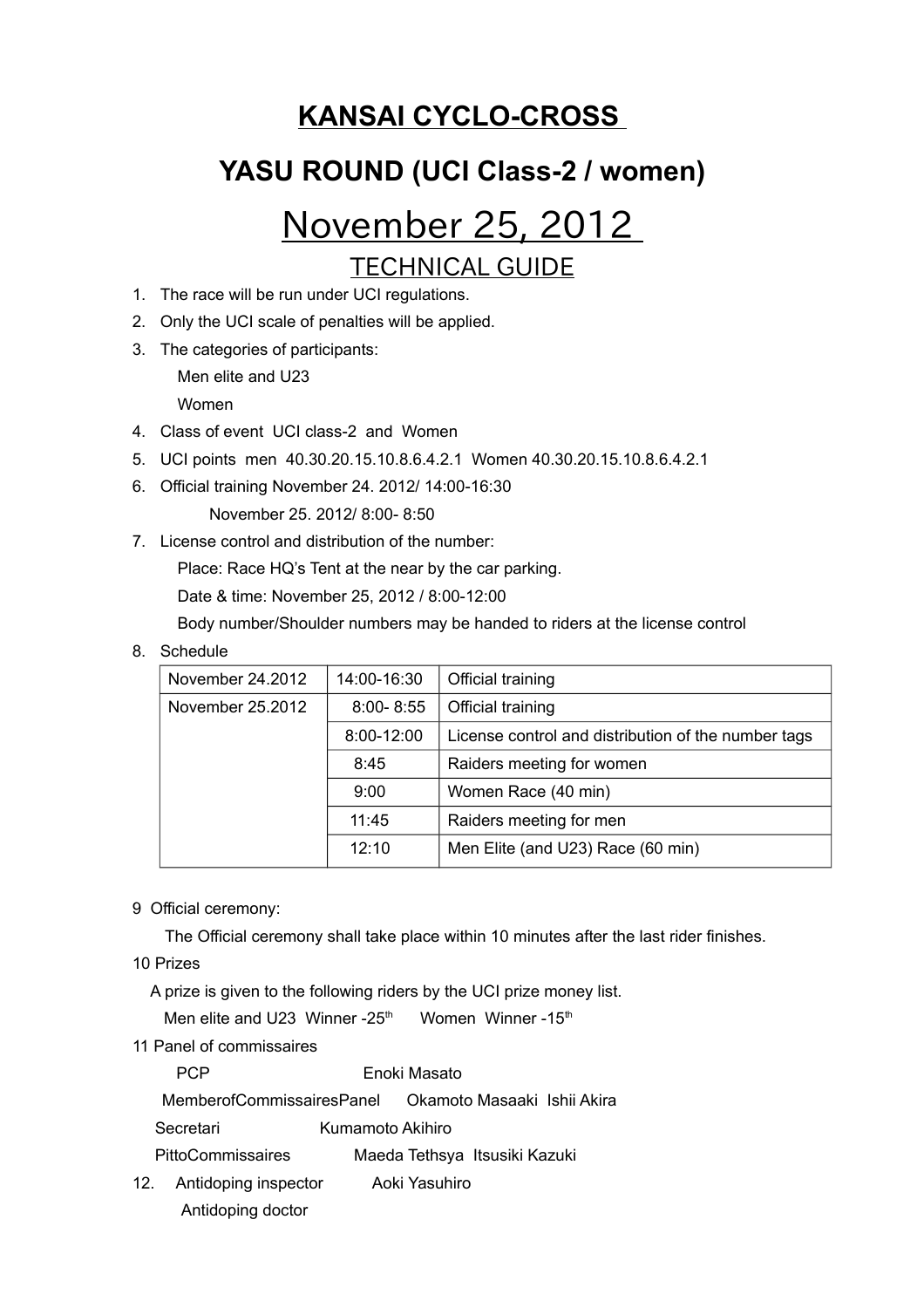## **KANSAI CYCLO-CROSS**

## **YASU ROUND (UCI Class-2 / women)**

# November 25, 2012

### TECHNICAL GUIDE

- 1. The race will be run under UCI regulations.
- 2. Only the UCI scale of penalties will be applied.
- 3. The categories of participants: Men elite and U23

Women

- 4. Class of event UCI class-2 and Women
- 5. UCI points men 40.30.20.15.10.8.6.4.2.1 Women 40.30.20.15.10.8.6.4.2.1
- 6. Official training November 24. 2012/ 14:00-16:30
	- November 25. 2012/ 8:00- 8:50
- 7. License control and distribution of the number:

Place: Race HQ's Tent at the near by the car parking.

Date & time: November 25, 2012 / 8:00-12:00

Body number/Shoulder numbers may be handed to riders at the license control

8. Schedule

| November 24.2012 | 14:00-16:30   | Official training                                   |
|------------------|---------------|-----------------------------------------------------|
| November 25.2012 | $8:00 - 8:55$ | Official training                                   |
|                  | 8:00-12:00    | License control and distribution of the number tags |
|                  | 8:45          | Raiders meeting for women                           |
|                  | 9:00          | Women Race (40 min)                                 |
|                  | 11:45         | Raiders meeting for men                             |
|                  | 12:10         | Men Elite (and U23) Race (60 min)                   |

#### 9 Official ceremony:

The Official ceremony shall take place within 10 minutes after the last rider finishes.

10 Prizes

A prize is given to the following riders by the UCI prize money list.

Men elite and U23 Winner -25<sup>th</sup> Women Winner -15<sup>th</sup>

11 Panel of commissaires

PCP **Enoki Masato** 

MemberofCommissairesPanel Okamoto Masaaki Ishii Akira

Secretari Kumamoto Akihiro

PittoCommissaires Maeda Tethsya Itsusiki Kazuki

12. Antidoping inspector Aoki Yasuhiro Antidoping doctor